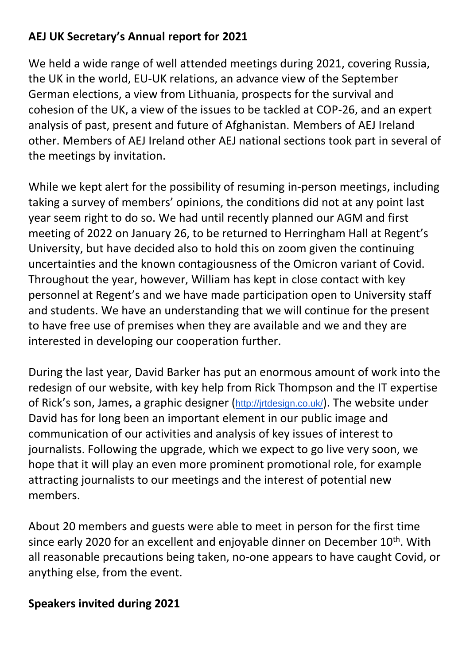## **AEJ UK Secretary's Annual report for 2021**

We held a wide range of well attended meetings during 2021, covering Russia, the UK in the world, EU-UK relations, an advance view of the September German elections, a view from Lithuania, prospects for the survival and cohesion of the UK, a view of the issues to be tackled at COP-26, and an expert analysis of past, present and future of Afghanistan. Members of AEJ Ireland other. Members of AEJ Ireland other AEJ national sections took part in several of the meetings by invitation.

While we kept alert for the possibility of resuming in-person meetings, including taking a survey of members' opinions, the conditions did not at any point last year seem right to do so. We had until recently planned our AGM and first meeting of 2022 on January 26, to be returned to Herringham Hall at Regent's University, but have decided also to hold this on zoom given the continuing uncertainties and the known contagiousness of the Omicron variant of Covid. Throughout the year, however, William has kept in close contact with key personnel at Regent's and we have made participation open to University staff and students. We have an understanding that we will continue for the present to have free use of premises when they are available and we and they are interested in developing our cooperation further.

During the last year, David Barker has put an enormous amount of work into the redesign of our website, with key help from Rick Thompson and the IT expertise of Rick's son, James, a graphic designer (<http://jrtdesign.co.uk/>). The website under David has for long been an important element in our public image and communication of our activities and analysis of key issues of interest to journalists. Following the upgrade, which we expect to go live very soon, we hope that it will play an even more prominent promotional role, for example attracting journalists to our meetings and the interest of potential new members.

About 20 members and guests were able to meet in person for the first time since early 2020 for an excellent and enjoyable dinner on December 10<sup>th</sup>. With all reasonable precautions being taken, no-one appears to have caught Covid, or anything else, from the event.

## **Speakers invited during 2021**